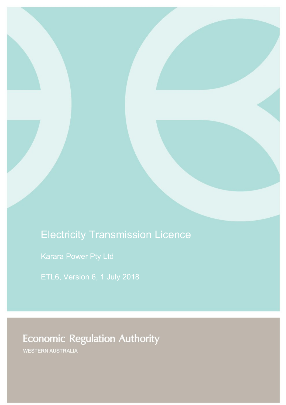# Electricity Transmission Licence

**Economic Regulation Authority** 

WESTERN AUSTRALIA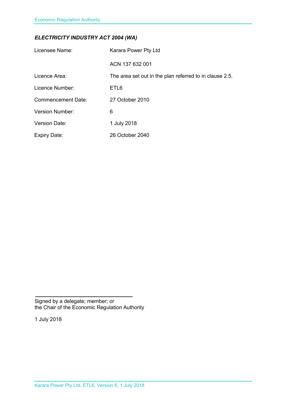### *ELECTRICITY INDUSTRY ACT 2004 (WA)*

| Licensee Name:            | Karara Power Pty Ltd                                    |
|---------------------------|---------------------------------------------------------|
|                           | ACN 137 632 001                                         |
| Licence Area:             | The area set out in the plan referred to in clause 2.5. |
| Licence Number:           | ETL <sub>6</sub>                                        |
| <b>Commencement Date:</b> | 27 October 2010                                         |
| <b>Version Number:</b>    | 6                                                       |
| <b>Version Date:</b>      | 1 July 2018                                             |
| <b>Expiry Date:</b>       | 26 October 2040                                         |

Signed by a delegate; member; or the Chair of the Economic Regulation Authority

1 July 2018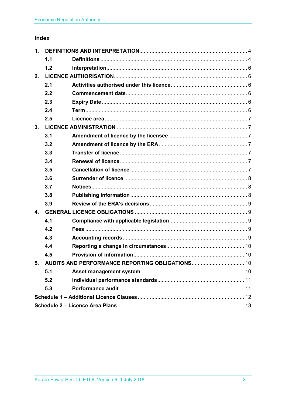## Index

| 1.           |     |                                                    |  |
|--------------|-----|----------------------------------------------------|--|
|              | 1.1 |                                                    |  |
|              | 1.2 |                                                    |  |
| 2.           |     |                                                    |  |
|              | 2.1 |                                                    |  |
|              | 2.2 |                                                    |  |
|              | 2.3 |                                                    |  |
|              | 2.4 |                                                    |  |
|              | 2.5 |                                                    |  |
| 3.           |     |                                                    |  |
|              | 3.1 |                                                    |  |
|              | 3.2 |                                                    |  |
|              | 3.3 |                                                    |  |
|              | 3.4 |                                                    |  |
|              | 3.5 |                                                    |  |
|              | 3.6 |                                                    |  |
|              | 3.7 |                                                    |  |
|              | 3.8 |                                                    |  |
|              | 3.9 |                                                    |  |
| $\mathbf{4}$ |     |                                                    |  |
|              | 4.1 |                                                    |  |
|              | 4.2 |                                                    |  |
|              | 4.3 |                                                    |  |
|              | 4.4 |                                                    |  |
|              | 4.5 |                                                    |  |
|              |     | 5. AUDITS AND PERFORMANCE REPORTING OBLIGATIONS 10 |  |
|              | 5.1 |                                                    |  |
|              | 5.2 |                                                    |  |
|              | 5.3 |                                                    |  |
|              |     |                                                    |  |
|              |     |                                                    |  |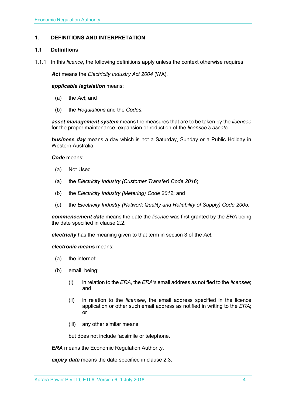#### <span id="page-3-0"></span>**1. DEFINITIONS AND INTERPRETATION**

#### <span id="page-3-1"></span>**1.1 Definitions**

1.1.1 In this *licence*, the following definitions apply unless the context otherwise requires:

*Act* means the *Electricity Industry Act 2004* (WA).

#### *applicable legislation* means:

- (a) the *Act*; and
- (b) the *Regulations* and the *Codes*.

*asset management system* means the measures that are to be taken by the *licensee* for the proper maintenance, expansion or reduction of the *licensee's assets*.

*business day* means a day which is not a Saturday, Sunday or a Public Holiday in Western Australia.

*Code* means:

- (a) Not Used
- (a) the *Electricity Industry (Customer Transfer) Code 2016*;
- (b) the *Electricity Industry (Metering) Code 2012*; and
- (c) the *Electricity Industry (Network Quality and Reliability of Supply) Code 2005*.

*commencement date* means the date the *licence* was first granted by the *ERA* being the date specified in clause 2.2.

*electricity* has the meaning given to that term in section 3 of the *Act*.

*electronic means* means:

- (a) the internet;
- (b) email, being:
	- (i) in relation to the *ERA*, the *ERA's* email address as notified to the *licensee*; and
	- (ii) in relation to the *licensee*, the email address specified in the licence application or other such email address as notified in writing to the *ERA*; or
	- (iii) any other similar means,

but does not include facsimile or telephone.

*ERA* means the Economic Regulation Authority.

*expiry date* means the date specified in clause 2.3*.*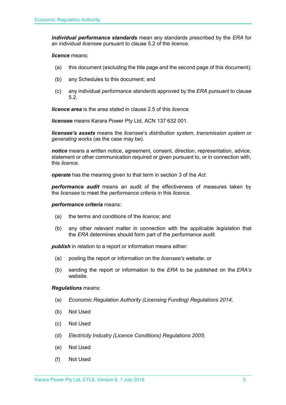*individual performance standards* mean any standards prescribed by the *ERA* for an individual *licensee* pursuant to clause 5.2 of the *licence*.

#### *licence* means:

- (a) this document (excluding the title page and the second page of this document);
- (b) any Schedules to this document; and
- (c) any individual *performance standards* approved by the *ERA* pursuant to clause 5.2.

*licence area* is the area stated in clause 2.5 of this *licence.*

*licensee* means Karara Power Pty Ltd, ACN 137 632 001.

*licensee's assets* means the *licensee*'s *distribution system*, *transmission system* or *generating works* (as the case may be).

*notice* means a written notice, agreement, consent, direction, representation, advice, statement or other communication required or given pursuant to, or in connection with, this *licence*.

*operate* has the meaning given to that term in section 3 of the *Act*.

*performance audit* means an audit of the effectiveness of measures taken by the *licensee* to meet the *performance criteria* in this *licence*.

#### *performance criteria* means:

- (a) the terms and conditions of the *licence*; and
- (b) any other relevant matter in connection with the *applicable legislation* that the *ERA* determines should form part of the *performance audit*.

**publish** in relation to a report or information means either:

- (a) posting the report or information on the *licensee's* website; or
- (b) sending the report or information to the *ERA* to be published on the *ERA's* website.

#### *Regulations* means:

- (a) *Economic Regulation Authority (Licensing Funding) Regulations 2014*;
- (b) Not Used
- (c) Not Used
- (d) *Electricity Industry (Licence Conditions) Regulations 2005*;
- (e) Not Used
- (f) Not Used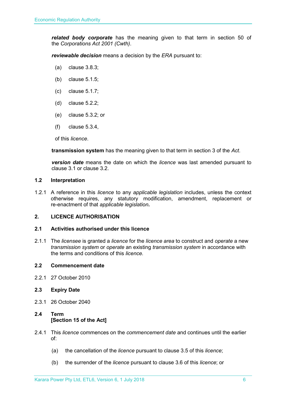*related body corporate* has the meaning given to that term in section 50 of the *Corporations Act 2001 (Cwth)*.

*reviewable decision* means a decision by the *ERA* pursuant to:

- (a) clause 3.8.3;
- (b) clause 5.1.5;
- (c) clause 5.1.7;
- (d) clause 5.2.2;
- (e) clause 5.3.2; or
- (f) clause 5.3.4,

of this *licence*.

**transmission system** has the meaning given to that term in section 3 of the *Act*.

*version date* means the date on which the *licence* was last amended pursuant to clause 3.1 or clause 3.2.

#### <span id="page-5-0"></span>**1.2 Interpretation**

1.2.1 A reference in this *licence* to any *applicable legislation* includes, unless the context otherwise requires, any statutory modification, amendment, replacement or re-enactment of that *applicable legislation***.**

#### <span id="page-5-1"></span>**2. LICENCE AUTHORISATION**

#### <span id="page-5-2"></span>**2.1 Activities authorised under this licence**

2.1.1 The *licensee* is granted a *licence* for the *licence area* to construct and *operate* a new *transmission system* or *operate* an existing *transmission system* in accordance with the terms and conditions of this *licence.* 

#### <span id="page-5-3"></span>**2.2 Commencement date**

2.2.1 27 October 2010

#### <span id="page-5-4"></span>**2.3 Expiry Date**

2.3.1 26 October 2040

#### <span id="page-5-5"></span>**2.4 Term [Section 15 of the Act]**

- 2.4.1 This *licence* commences on the *commencement date* and continues until the earlier of:
	- (a) the cancellation of the *licence* pursuant to clause 3.5 of this *licence*;
	- (b) the surrender of the *licence* pursuant to clause 3.6 of this *licence*; or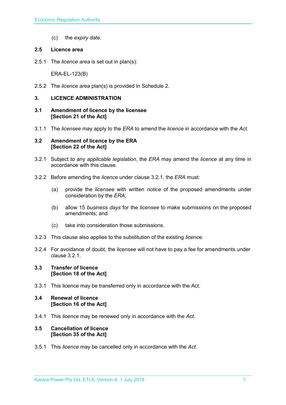(c) the *expiry date*.

#### <span id="page-6-0"></span>**2.5 Licence area**

2.5.1 The *licence area* is set out in plan(s):

ERA-EL-123(B)

2.5.2 The *licence area* plan(s) is provided in Schedule 2.

#### <span id="page-6-1"></span>**3. LICENCE ADMINISTRATION**

- <span id="page-6-2"></span>**3.1 Amendment of licence by the licensee [Section 21 of the Act]**
- 3.1.1 The *licensee* may apply to the *ERA* to amend the *licence* in accordance with the *Act.*

#### <span id="page-6-3"></span>**3.2 Amendment of licence by the ERA [Section 22 of the Act]**

- 3.2.1 Subject to any *applicable legislation*, the *ERA* may amend the *licence* at any time in accordance with this clause.
- 3.2.2 Before amending the *licence* under clause 3.2.1, the *ERA* must:
	- (a) provide the *licensee* with written *notice* of the proposed amendments under consideration by the *ERA*;
	- (b) allow 15 *business days* for the *licensee* to make submissions on the proposed amendments; and
	- (c) take into consideration those submissions.
- 3.2.3 This clause also applies to the substitution of the existing *licence*.
- 3.2.4 For avoidance of doubt, the *licensee* will not have to pay a fee for amendments under clause 3.2.1.

#### <span id="page-6-4"></span>**3.3 Transfer of licence [Section 18 of the Act]**

3.3.1 This licence may be transferred only in accordance with the Act.

#### <span id="page-6-5"></span>**3.4 Renewal of licence [Section 16 of the Act]**

3.4.1 This *licence* may be renewed only in accordance with the *Act*.

#### <span id="page-6-6"></span>**3.5 Cancellation of licence [Section 35 of the Act]**

3.5.1 This *licence* may be cancelled only in accordance with the *Act*.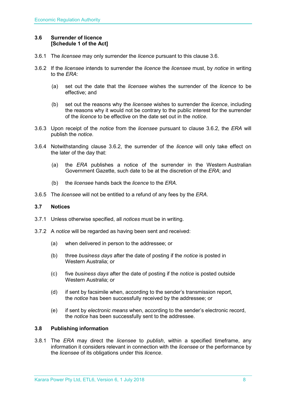#### <span id="page-7-0"></span>**3.6 Surrender of licence [Schedule 1 of the Act]**

- 3.6.1 The *licensee* may only surrender the *licence* pursuant to this clause 3.6.
- 3.6.2 If the *licensee* intends to surrender the *licence* the *licensee* must, by *notice* in writing to the *ERA*:
	- (a) set out the date that the *licensee* wishes the surrender of the *licence* to be effective; and
	- (b) set out the reasons why the *licensee* wishes to surrender the *licence*, including the reasons why it would not be contrary to the public interest for the surrender of the *licence* to be effective on the date set out in the *notice*.
- 3.6.3 Upon receipt of the *notice* from the *licensee* pursuant to clause 3.6.2, the *ERA* will publish the *notice*.
- 3.6.4 Notwithstanding clause 3.6.2, the surrender of the *licence* will only take effect on the later of the day that:
	- (a) the *ERA* publishes a notice of the surrender in the Western Australian Government Gazette, such date to be at the discretion of the *ERA*; and
	- (b) the *licensee* hands back the *licence* to the *ERA*.
- 3.6.5 The *licensee* will not be entitled to a refund of any fees by the *ERA*.

#### <span id="page-7-1"></span>**3.7 Notices**

- 3.7.1 Unless otherwise specified, all *notices* must be in writing.
- 3.7.2 A *notice* will be regarded as having been sent and received:
	- (a) when delivered in person to the addressee; or
	- (b) three *business days* after the date of posting if the *notice* is posted in Western Australia; or
	- (c) five *business days* after the date of posting if the *notice* is posted outside Western Australia; or
	- (d) if sent by facsimile when, according to the sender's transmission report, the *notice* has been successfully received by the addressee; or
	- (e) if sent by *electronic means* when, according to the sender's electronic record, the *notice* has been successfully sent to the addressee.

#### <span id="page-7-2"></span>**3.8 Publishing information**

3.8.1 The *ERA* may direct the *licensee* to *publish*, within a specified timeframe, any information it considers relevant in connection with the *licensee* or the performance by the *licensee* of its obligations under this *licence*.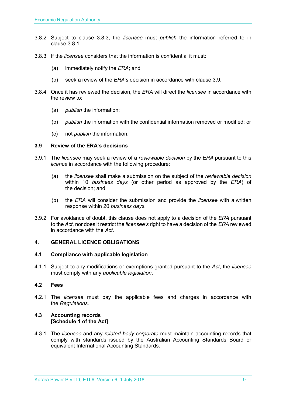- 3.8.2 Subject to clause 3.8.3, the *licensee* must *publish* the information referred to in clause 3.8.1.
- 3.8.3 If the *licensee* considers that the information is confidential it must:
	- (a) immediately notify the *ERA*; and
	- (b) seek a review of the *ERA's* decision in accordance with clause 3.9.
- 3.8.4 Once it has reviewed the decision, the *ERA* will direct the *licensee* in accordance with the review to:
	- (a) *publish* the information;
	- (b) *publish* the information with the confidential information removed or modified; or
	- (c) not *publish* the information.

#### <span id="page-8-0"></span>**3.9 Review of the ERA's decisions**

- 3.9.1 The *licensee* may seek a review of a *reviewable decision* by the *ERA* pursuant to this *licence* in accordance with the following procedure:
	- (a) the *licensee* shall make a submission on the subject of the *reviewable decision* within 10 *business days* (or other period as approved by the *ERA*) of the decision; and
	- (b) the *ERA* will consider the submission and provide the *licensee* with a written response within 20 *business days*.
- 3.9.2 For avoidance of doubt, this clause does not apply to a decision of the *ERA* pursuant to the *Act*, nor does it restrict the *licensee's* right to have a decision of the *ERA* reviewed in accordance with the *Act*.

#### <span id="page-8-1"></span>**4. GENERAL LICENCE OBLIGATIONS**

#### <span id="page-8-2"></span>**4.1 Compliance with applicable legislation**

4.1.1 Subject to any modifications or exemptions granted pursuant to the *Act*, the *licensee* must comply with any *applicable legislation*.

#### <span id="page-8-3"></span>**4.2 Fees**

4.2.1 The *licensee* must pay the applicable fees and charges in accordance with the *Regulations*.

#### <span id="page-8-4"></span>**4.3 Accounting records [Schedule 1 of the Act]**

4.3.1 The *licensee* and any *related body corporate* must maintain accounting records that comply with standards issued by the Australian Accounting Standards Board or equivalent International Accounting Standards.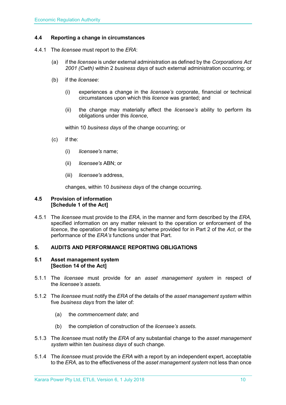#### <span id="page-9-0"></span>**4.4 Reporting a change in circumstances**

- 4.4.1 The *licensee* must report to the *ERA*:
	- (a) if the *licensee* is under external administration as defined by the *Corporations Act 2001 (Cwth)* within 2 *business days* of such external administration occurring; or
	- (b) if the *licensee*:
		- (i) experiences a change in the *licensee's* corporate, financial or technical circumstances upon which this *licence* was granted; and
		- (ii) the change may materially affect the *licensee's* ability to perform its obligations under this *licence*,

within 10 *business days* of the change occurring; or

- (c) if the:
	- (i) *licensee's* name;
	- (ii) *licensee's* ABN; or
	- (iii) *licensee's* address,

changes, within 10 *business days* of the change occurring.

#### <span id="page-9-1"></span>**4.5 Provision of information [Schedule 1 of the Act]**

4.5.1 The *licensee* must provide to the *ERA,* in the manner and form described by the *ERA,*  specified information on any matter relevant to the operation or enforcement of the *licence*, the operation of the licensing scheme provided for in Part 2 of the *Act*, or the performance of the *ERA's* functions under that Part.

#### <span id="page-9-2"></span>**5. AUDITS AND PERFORMANCE REPORTING OBLIGATIONS**

#### <span id="page-9-3"></span>**5.1 Asset management system [Section 14 of the Act]**

- 5.1.1 The *licensee* must provide for an *asset management system* in respect of the *licensee's assets*.
- 5.1.2 The *licensee* must notify the *ERA* of the details of the *asset management system* within five *business days* from the later of:
	- (a) the *commencement date*; and
	- (b) the completion of construction of the *licensee's assets*.
- 5.1.3 The *licensee* must notify the *ERA* of any substantial change to the *asset management system* within ten *business days* of such change.
- 5.1.4 The *licensee* must provide the *ERA* with a report by an independent expert, acceptable to the *ERA*, as to the effectiveness of the *asset management system* not less than once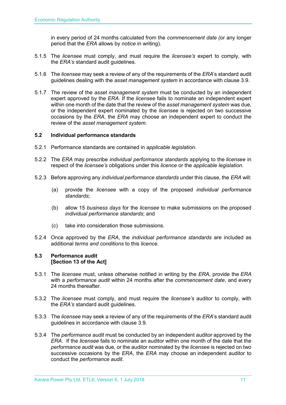in every period of 24 months calculated from the *commencement date (*or any longer period that the *ERA* allows by *notice* in writing).

- 5.1.5 The *licensee* must comply, and must require the *licensee's* expert to comply, with the *ERA's* standard audit guidelines.
- 5.1.6 The *licensee* may seek a review of any of the requirements of the *ERA*'s standard audit guidelines dealing with the *asset management system* in accordance with clause 3.9.
- 5.1.7 The review of the *asset management system* must be conducted by an independent expert approved by the *ERA*. If the *licensee* fails to nominate an independent expert within one month of the date that the review of the *asset management system* was due, or the independent expert nominated by the *licensee* is rejected on two successive occasions by the *ERA*, the *ERA* may choose an independent expert to conduct the review of the *asset management system*.

#### <span id="page-10-0"></span>**5.2 Individual performance standards**

- 5.2.1 Performance standards are contained in *applicable legislation*.
- 5.2.2 The *ERA* may prescribe *individual performance standards* applying to the *licensee* in respect of the *licensee's* obligations under this *licence* or the *applicable legislation*.
- 5.2.3 Before approving any *individual performance standards* under this clause, the *ERA* will:
	- (a) provide the *licensee* with a copy of the proposed *individual performance standards*;
	- (b) allow 15 *business days* for the *licensee* to make submissions on the proposed *individual performance standards*; and
	- (c) take into consideration those submissions.
- 5.2.4 Once approved by the *ERA*, the *individual performance standards* are included as additional *terms and conditions* to this *licence*.

#### <span id="page-10-1"></span>**5.3 Performance audit [Section 13 of the Act]**

- 5.3.1 The *licensee* must, unless otherwise notified in writing by the *ERA*, provide the *ERA* with a *performance audit* within 24 months after the *commencement date*, and every 24 months thereafter.
- 5.3.2 The *licensee* must comply, and must require the *licensee's* auditor to comply, with the *ERA's* standard audit guidelines.
- 5.3.3 The *licensee* may seek a review of any of the requirements of the *ERA*'s standard audit guidelines in accordance with clause 3.9.
- 5.3.4 The *performance audit* must be conducted by an independent auditor approved by the *ERA*. If the *licensee* fails to nominate an auditor within one month of the date that the *performance audit* was due, or the auditor nominated by the *licensee* is rejected on two successive occasions by the *ERA*, the *ERA* may choose an independent auditor to conduct the *performance audit*.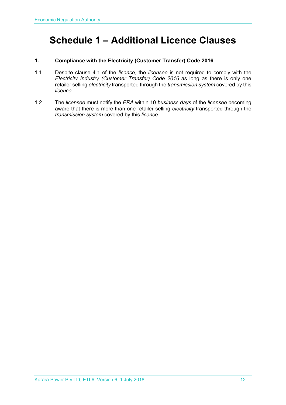## <span id="page-11-0"></span>**Schedule 1 – Additional Licence Clauses**

#### **1. Compliance with the Electricity (Customer Transfer) Code 2016**

- 1.1 Despite clause 4.1 of the *licence*, the *licensee* is not required to comply with the *Electricity Industry (Customer Transfer) Code 2016* as long as there is only one retailer selling *electricity* transported through the *transmission system* covered by this *licence*.
- 1.2 The *licensee* must notify the *ERA* within 10 *business days* of the *licensee* becoming aware that there is more than one retailer selling *electricity* transported through the *transmission system* covered by this *licence*.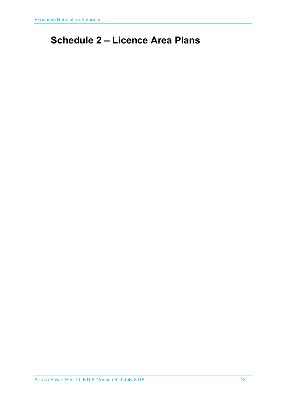## <span id="page-12-0"></span>**Schedule 2 – Licence Area Plans**